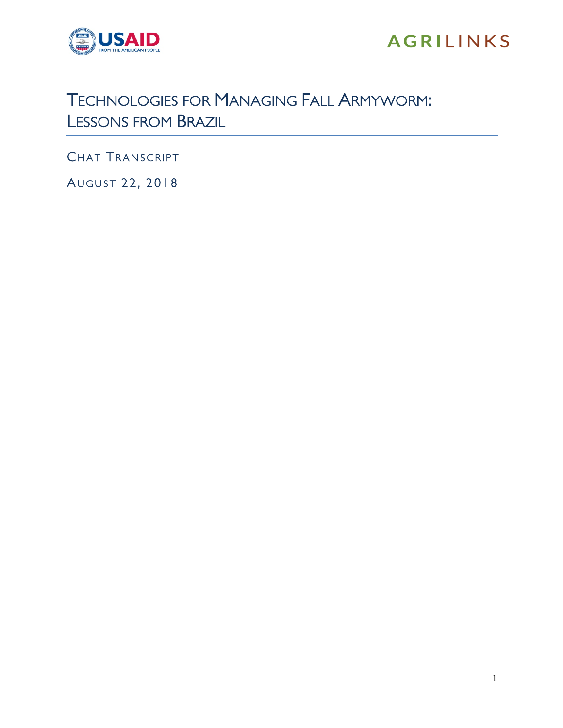

## **AGRILINKS**

## TECHNOLOGIES FOR MANAGING FALL ARMYWORM: LESSONS FROM BRAZIL

CHAT TRANSCRIPT

AUGUST 22, 2018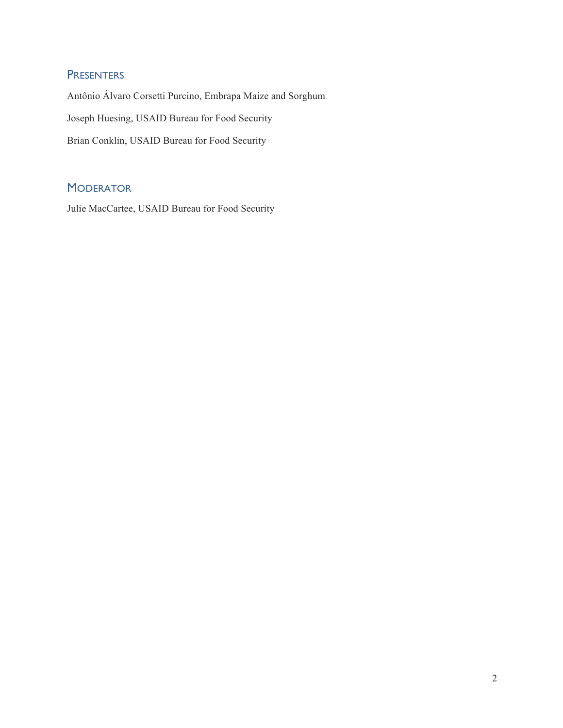## **PRESENTERS**

Antônio Álvaro Corsetti Purcino, Embrapa Maize and Sorghum Joseph Huesing, USAID Bureau for Food Security Brian Conklin, USAID Bureau for Food Security

## **MODERATOR**

Julie MacCartee, USAID Bureau for Food Security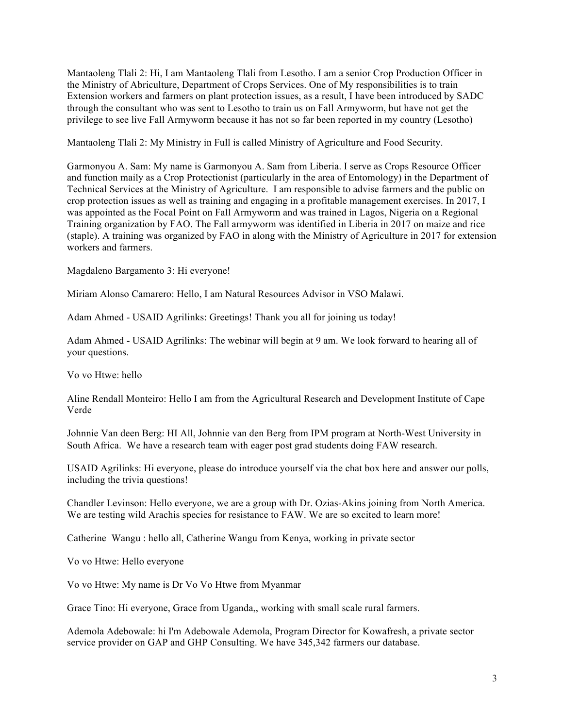Mantaoleng Tlali 2: Hi, I am Mantaoleng Tlali from Lesotho. I am a senior Crop Production Officer in the Ministry of Abriculture, Department of Crops Services. One of My responsibilities is to train Extension workers and farmers on plant protection issues, as a result, I have been introduced by SADC through the consultant who was sent to Lesotho to train us on Fall Armyworm, but have not get the privilege to see live Fall Armyworm because it has not so far been reported in my country (Lesotho)

Mantaoleng Tlali 2: My Ministry in Full is called Ministry of Agriculture and Food Security.

Garmonyou A. Sam: My name is Garmonyou A. Sam from Liberia. I serve as Crops Resource Officer and function maily as a Crop Protectionist (particularly in the area of Entomology) in the Department of Technical Services at the Ministry of Agriculture. I am responsible to advise farmers and the public on crop protection issues as well as training and engaging in a profitable management exercises. In 2017, I was appointed as the Focal Point on Fall Armyworm and was trained in Lagos, Nigeria on a Regional Training organization by FAO. The Fall armyworm was identified in Liberia in 2017 on maize and rice (staple). A training was organized by FAO in along with the Ministry of Agriculture in 2017 for extension workers and farmers.

Magdaleno Bargamento 3: Hi everyone!

Miriam Alonso Camarero: Hello, I am Natural Resources Advisor in VSO Malawi.

Adam Ahmed - USAID Agrilinks: Greetings! Thank you all for joining us today!

Adam Ahmed - USAID Agrilinks: The webinar will begin at 9 am. We look forward to hearing all of your questions.

Vo vo Htwe: hello

Aline Rendall Monteiro: Hello I am from the Agricultural Research and Development Institute of Cape Verde

Johnnie Van deen Berg: HI All, Johnnie van den Berg from IPM program at North-West University in South Africa. We have a research team with eager post grad students doing FAW research.

USAID Agrilinks: Hi everyone, please do introduce yourself via the chat box here and answer our polls, including the trivia questions!

Chandler Levinson: Hello everyone, we are a group with Dr. Ozias-Akins joining from North America. We are testing wild Arachis species for resistance to FAW. We are so excited to learn more!

Catherine Wangu : hello all, Catherine Wangu from Kenya, working in private sector

Vo vo Htwe: Hello everyone

Vo vo Htwe: My name is Dr Vo Vo Htwe from Myanmar

Grace Tino: Hi everyone, Grace from Uganda,, working with small scale rural farmers.

Ademola Adebowale: hi I'm Adebowale Ademola, Program Director for Kowafresh, a private sector service provider on GAP and GHP Consulting. We have 345,342 farmers our database.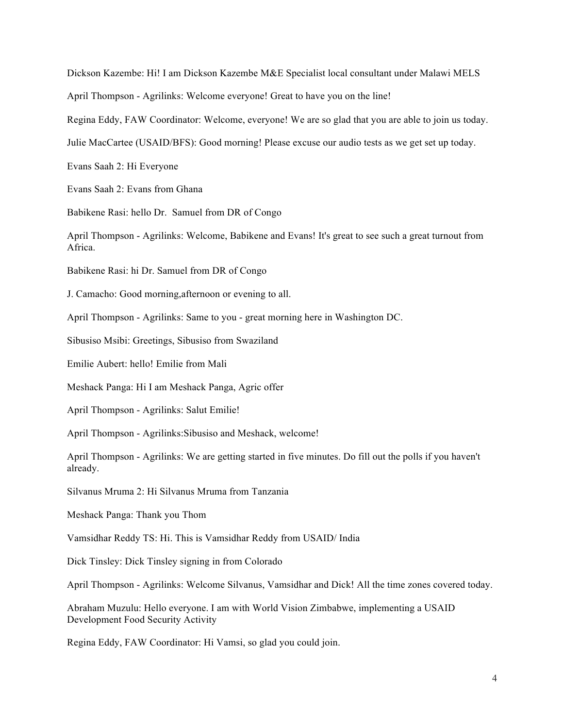Dickson Kazembe: Hi! I am Dickson Kazembe M&E Specialist local consultant under Malawi MELS

April Thompson - Agrilinks: Welcome everyone! Great to have you on the line!

Regina Eddy, FAW Coordinator: Welcome, everyone! We are so glad that you are able to join us today.

Julie MacCartee (USAID/BFS): Good morning! Please excuse our audio tests as we get set up today.

Evans Saah 2: Hi Everyone

Evans Saah 2: Evans from Ghana

Babikene Rasi: hello Dr. Samuel from DR of Congo

April Thompson - Agrilinks: Welcome, Babikene and Evans! It's great to see such a great turnout from Africa.

Babikene Rasi: hi Dr. Samuel from DR of Congo

J. Camacho: Good morning,afternoon or evening to all.

April Thompson - Agrilinks: Same to you - great morning here in Washington DC.

Sibusiso Msibi: Greetings, Sibusiso from Swaziland

Emilie Aubert: hello! Emilie from Mali

Meshack Panga: Hi I am Meshack Panga, Agric offer

April Thompson - Agrilinks: Salut Emilie!

April Thompson - Agrilinks:Sibusiso and Meshack, welcome!

April Thompson - Agrilinks: We are getting started in five minutes. Do fill out the polls if you haven't already.

Silvanus Mruma 2: Hi Silvanus Mruma from Tanzania

Meshack Panga: Thank you Thom

Vamsidhar Reddy TS: Hi. This is Vamsidhar Reddy from USAID/ India

Dick Tinsley: Dick Tinsley signing in from Colorado

April Thompson - Agrilinks: Welcome Silvanus, Vamsidhar and Dick! All the time zones covered today.

Abraham Muzulu: Hello everyone. I am with World Vision Zimbabwe, implementing a USAID Development Food Security Activity

Regina Eddy, FAW Coordinator: Hi Vamsi, so glad you could join.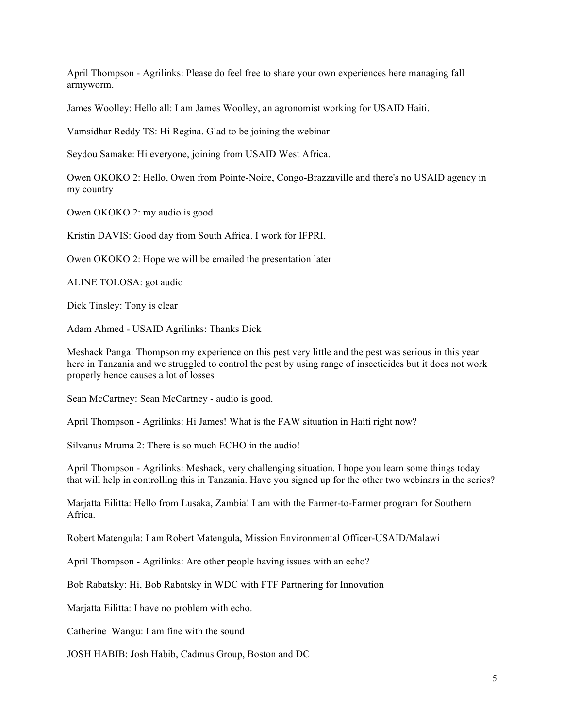April Thompson - Agrilinks: Please do feel free to share your own experiences here managing fall armyworm.

James Woolley: Hello all: I am James Woolley, an agronomist working for USAID Haiti.

Vamsidhar Reddy TS: Hi Regina. Glad to be joining the webinar

Seydou Samake: Hi everyone, joining from USAID West Africa.

Owen OKOKO 2: Hello, Owen from Pointe-Noire, Congo-Brazzaville and there's no USAID agency in my country

Owen OKOKO 2: my audio is good

Kristin DAVIS: Good day from South Africa. I work for IFPRI.

Owen OKOKO 2: Hope we will be emailed the presentation later

ALINE TOLOSA: got audio

Dick Tinsley: Tony is clear

Adam Ahmed - USAID Agrilinks: Thanks Dick

Meshack Panga: Thompson my experience on this pest very little and the pest was serious in this year here in Tanzania and we struggled to control the pest by using range of insecticides but it does not work properly hence causes a lot of losses

Sean McCartney: Sean McCartney - audio is good.

April Thompson - Agrilinks: Hi James! What is the FAW situation in Haiti right now?

Silvanus Mruma 2: There is so much ECHO in the audio!

April Thompson - Agrilinks: Meshack, very challenging situation. I hope you learn some things today that will help in controlling this in Tanzania. Have you signed up for the other two webinars in the series?

Marjatta Eilitta: Hello from Lusaka, Zambia! I am with the Farmer-to-Farmer program for Southern Africa.

Robert Matengula: I am Robert Matengula, Mission Environmental Officer-USAID/Malawi

April Thompson - Agrilinks: Are other people having issues with an echo?

Bob Rabatsky: Hi, Bob Rabatsky in WDC with FTF Partnering for Innovation

Marjatta Eilitta: I have no problem with echo.

Catherine Wangu: I am fine with the sound

JOSH HABIB: Josh Habib, Cadmus Group, Boston and DC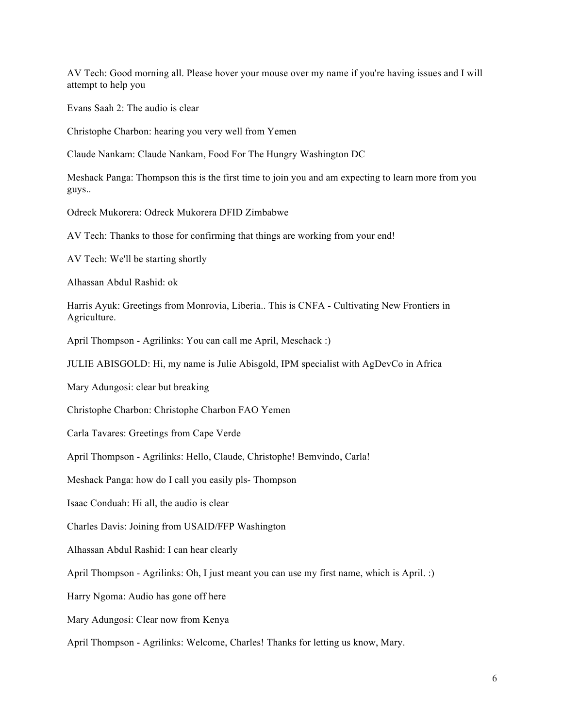AV Tech: Good morning all. Please hover your mouse over my name if you're having issues and I will attempt to help you

Evans Saah 2: The audio is clear

Christophe Charbon: hearing you very well from Yemen

Claude Nankam: Claude Nankam, Food For The Hungry Washington DC

Meshack Panga: Thompson this is the first time to join you and am expecting to learn more from you guys..

Odreck Mukorera: Odreck Mukorera DFID Zimbabwe

AV Tech: Thanks to those for confirming that things are working from your end!

AV Tech: We'll be starting shortly

Alhassan Abdul Rashid: ok

Harris Ayuk: Greetings from Monrovia, Liberia.. This is CNFA - Cultivating New Frontiers in Agriculture.

April Thompson - Agrilinks: You can call me April, Meschack :)

JULIE ABISGOLD: Hi, my name is Julie Abisgold, IPM specialist with AgDevCo in Africa

Mary Adungosi: clear but breaking

Christophe Charbon: Christophe Charbon FAO Yemen

Carla Tavares: Greetings from Cape Verde

April Thompson - Agrilinks: Hello, Claude, Christophe! Bemvindo, Carla!

Meshack Panga: how do I call you easily pls- Thompson

Isaac Conduah: Hi all, the audio is clear

Charles Davis: Joining from USAID/FFP Washington

Alhassan Abdul Rashid: I can hear clearly

April Thompson - Agrilinks: Oh, I just meant you can use my first name, which is April. :)

Harry Ngoma: Audio has gone off here

Mary Adungosi: Clear now from Kenya

April Thompson - Agrilinks: Welcome, Charles! Thanks for letting us know, Mary.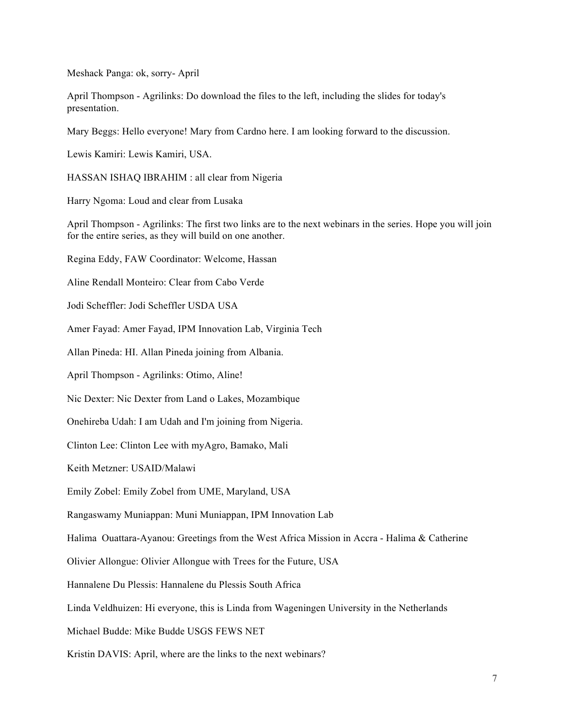Meshack Panga: ok, sorry- April

April Thompson - Agrilinks: Do download the files to the left, including the slides for today's presentation.

Mary Beggs: Hello everyone! Mary from Cardno here. I am looking forward to the discussion.

Lewis Kamiri: Lewis Kamiri, USA.

HASSAN ISHAQ IBRAHIM : all clear from Nigeria

Harry Ngoma: Loud and clear from Lusaka

April Thompson - Agrilinks: The first two links are to the next webinars in the series. Hope you will join for the entire series, as they will build on one another.

Regina Eddy, FAW Coordinator: Welcome, Hassan

Aline Rendall Monteiro: Clear from Cabo Verde

Jodi Scheffler: Jodi Scheffler USDA USA

Amer Fayad: Amer Fayad, IPM Innovation Lab, Virginia Tech

Allan Pineda: HI. Allan Pineda joining from Albania.

April Thompson - Agrilinks: Otimo, Aline!

Nic Dexter: Nic Dexter from Land o Lakes, Mozambique

Onehireba Udah: I am Udah and I'm joining from Nigeria.

Clinton Lee: Clinton Lee with myAgro, Bamako, Mali

Keith Metzner: USAID/Malawi

Emily Zobel: Emily Zobel from UME, Maryland, USA

Rangaswamy Muniappan: Muni Muniappan, IPM Innovation Lab

Halima Ouattara-Ayanou: Greetings from the West Africa Mission in Accra - Halima & Catherine

Olivier Allongue: Olivier Allongue with Trees for the Future, USA

Hannalene Du Plessis: Hannalene du Plessis South Africa

Linda Veldhuizen: Hi everyone, this is Linda from Wageningen University in the Netherlands

Michael Budde: Mike Budde USGS FEWS NET

Kristin DAVIS: April, where are the links to the next webinars?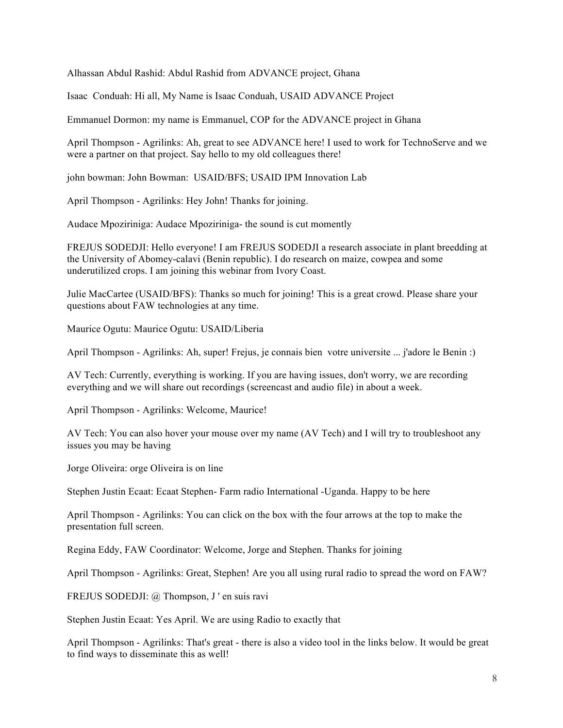Alhassan Abdul Rashid: Abdul Rashid from ADVANCE project, Ghana

Isaac Conduah: Hi all, My Name is Isaac Conduah, USAID ADVANCE Project

Emmanuel Dormon: my name is Emmanuel, COP for the ADVANCE project in Ghana

April Thompson - Agrilinks: Ah, great to see ADVANCE here! I used to work for TechnoServe and we were a partner on that project. Say hello to my old colleagues there!

john bowman: John Bowman: USAID/BFS; USAID IPM Innovation Lab

April Thompson - Agrilinks: Hey John! Thanks for joining.

Audace Mpoziriniga: Audace Mpoziriniga- the sound is cut momently

FREJUS SODEDJI: Hello everyone! I am FREJUS SODEDJI a research associate in plant breedding at the University of Abomey-calavi (Benin republic). I do research on maize, cowpea and some underutilized crops. I am joining this webinar from Ivory Coast.

Julie MacCartee (USAID/BFS): Thanks so much for joining! This is a great crowd. Please share your questions about FAW technologies at any time.

Maurice Ogutu: Maurice Ogutu: USAID/Liberia

April Thompson - Agrilinks: Ah, super! Frejus, je connais bien votre universite ... j'adore le Benin :)

AV Tech: Currently, everything is working. If you are having issues, don't worry, we are recording everything and we will share out recordings (screencast and audio file) in about a week.

April Thompson - Agrilinks: Welcome, Maurice!

AV Tech: You can also hover your mouse over my name (AV Tech) and I will try to troubleshoot any issues you may be having

Jorge Oliveira: orge Oliveira is on line

Stephen Justin Ecaat: Ecaat Stephen- Farm radio International -Uganda. Happy to be here

April Thompson - Agrilinks: You can click on the box with the four arrows at the top to make the presentation full screen.

Regina Eddy, FAW Coordinator: Welcome, Jorge and Stephen. Thanks for joining

April Thompson - Agrilinks: Great, Stephen! Are you all using rural radio to spread the word on FAW?

FREJUS SODEDJI: @ Thompson, J ' en suis ravi

Stephen Justin Ecaat: Yes April. We are using Radio to exactly that

April Thompson - Agrilinks: That's great - there is also a video tool in the links below. It would be great to find ways to disseminate this as well!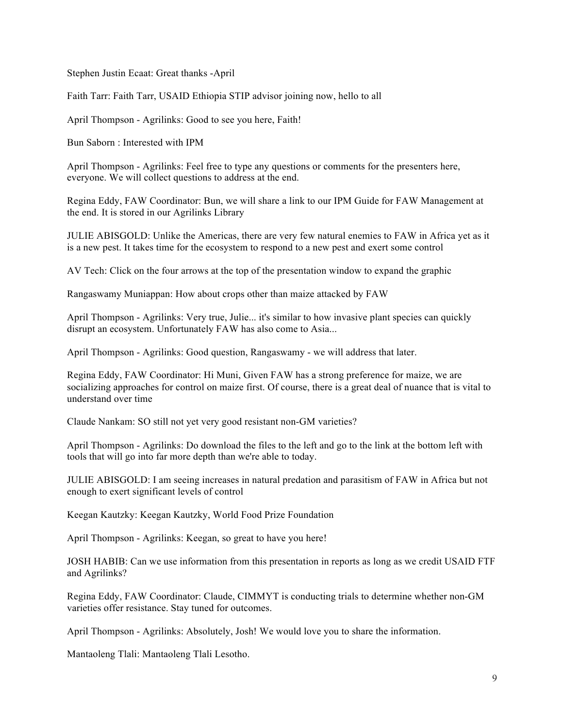Stephen Justin Ecaat: Great thanks -April

Faith Tarr: Faith Tarr, USAID Ethiopia STIP advisor joining now, hello to all

April Thompson - Agrilinks: Good to see you here, Faith!

Bun Saborn : Interested with IPM

April Thompson - Agrilinks: Feel free to type any questions or comments for the presenters here, everyone. We will collect questions to address at the end.

Regina Eddy, FAW Coordinator: Bun, we will share a link to our IPM Guide for FAW Management at the end. It is stored in our Agrilinks Library

JULIE ABISGOLD: Unlike the Americas, there are very few natural enemies to FAW in Africa yet as it is a new pest. It takes time for the ecosystem to respond to a new pest and exert some control

AV Tech: Click on the four arrows at the top of the presentation window to expand the graphic

Rangaswamy Muniappan: How about crops other than maize attacked by FAW

April Thompson - Agrilinks: Very true, Julie... it's similar to how invasive plant species can quickly disrupt an ecosystem. Unfortunately FAW has also come to Asia...

April Thompson - Agrilinks: Good question, Rangaswamy - we will address that later.

Regina Eddy, FAW Coordinator: Hi Muni, Given FAW has a strong preference for maize, we are socializing approaches for control on maize first. Of course, there is a great deal of nuance that is vital to understand over time

Claude Nankam: SO still not yet very good resistant non-GM varieties?

April Thompson - Agrilinks: Do download the files to the left and go to the link at the bottom left with tools that will go into far more depth than we're able to today.

JULIE ABISGOLD: I am seeing increases in natural predation and parasitism of FAW in Africa but not enough to exert significant levels of control

Keegan Kautzky: Keegan Kautzky, World Food Prize Foundation

April Thompson - Agrilinks: Keegan, so great to have you here!

JOSH HABIB: Can we use information from this presentation in reports as long as we credit USAID FTF and Agrilinks?

Regina Eddy, FAW Coordinator: Claude, CIMMYT is conducting trials to determine whether non-GM varieties offer resistance. Stay tuned for outcomes.

April Thompson - Agrilinks: Absolutely, Josh! We would love you to share the information.

Mantaoleng Tlali: Mantaoleng Tlali Lesotho.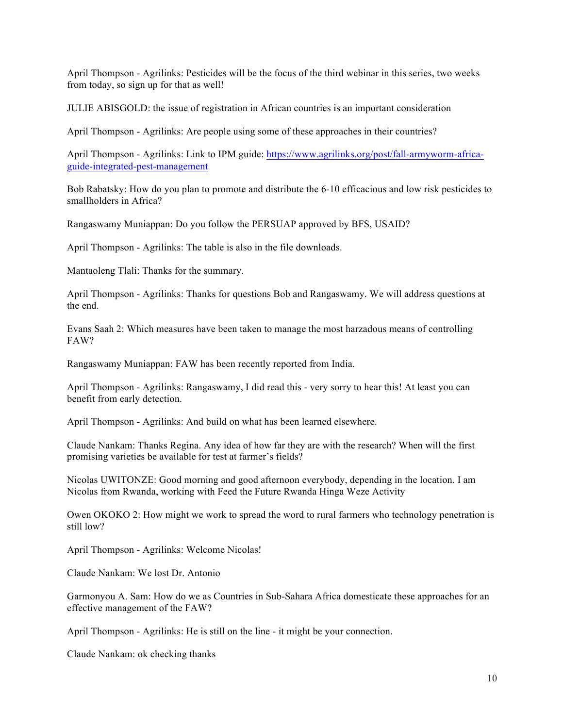April Thompson - Agrilinks: Pesticides will be the focus of the third webinar in this series, two weeks from today, so sign up for that as well!

JULIE ABISGOLD: the issue of registration in African countries is an important consideration

April Thompson - Agrilinks: Are people using some of these approaches in their countries?

April Thompson - Agrilinks: Link to IPM guide: https://www.agrilinks.org/post/fall-armyworm-africaguide-integrated-pest-management

Bob Rabatsky: How do you plan to promote and distribute the 6-10 efficacious and low risk pesticides to smallholders in Africa?

Rangaswamy Muniappan: Do you follow the PERSUAP approved by BFS, USAID?

April Thompson - Agrilinks: The table is also in the file downloads.

Mantaoleng Tlali: Thanks for the summary.

April Thompson - Agrilinks: Thanks for questions Bob and Rangaswamy. We will address questions at the end.

Evans Saah 2: Which measures have been taken to manage the most harzadous means of controlling FAW?

Rangaswamy Muniappan: FAW has been recently reported from India.

April Thompson - Agrilinks: Rangaswamy, I did read this - very sorry to hear this! At least you can benefit from early detection.

April Thompson - Agrilinks: And build on what has been learned elsewhere.

Claude Nankam: Thanks Regina. Any idea of how far they are with the research? When will the first promising varieties be available for test at farmer's fields?

Nicolas UWITONZE: Good morning and good afternoon everybody, depending in the location. I am Nicolas from Rwanda, working with Feed the Future Rwanda Hinga Weze Activity

Owen OKOKO 2: How might we work to spread the word to rural farmers who technology penetration is still low?

April Thompson - Agrilinks: Welcome Nicolas!

Claude Nankam: We lost Dr. Antonio

Garmonyou A. Sam: How do we as Countries in Sub-Sahara Africa domesticate these approaches for an effective management of the FAW?

April Thompson - Agrilinks: He is still on the line - it might be your connection.

Claude Nankam: ok checking thanks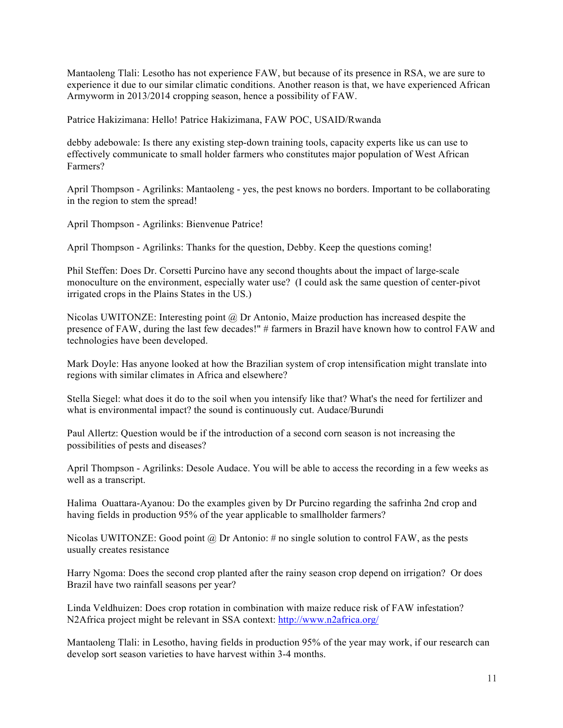Mantaoleng Tlali: Lesotho has not experience FAW, but because of its presence in RSA, we are sure to experience it due to our similar climatic conditions. Another reason is that, we have experienced African Armyworm in 2013/2014 cropping season, hence a possibility of FAW.

Patrice Hakizimana: Hello! Patrice Hakizimana, FAW POC, USAID/Rwanda

debby adebowale: Is there any existing step-down training tools, capacity experts like us can use to effectively communicate to small holder farmers who constitutes major population of West African Farmers?

April Thompson - Agrilinks: Mantaoleng - yes, the pest knows no borders. Important to be collaborating in the region to stem the spread!

April Thompson - Agrilinks: Bienvenue Patrice!

April Thompson - Agrilinks: Thanks for the question, Debby. Keep the questions coming!

Phil Steffen: Does Dr. Corsetti Purcino have any second thoughts about the impact of large-scale monoculture on the environment, especially water use? (I could ask the same question of center-pivot irrigated crops in the Plains States in the US.)

Nicolas UWITONZE: Interesting point  $(a)$  Dr Antonio, Maize production has increased despite the presence of FAW, during the last few decades!" # farmers in Brazil have known how to control FAW and technologies have been developed.

Mark Doyle: Has anyone looked at how the Brazilian system of crop intensification might translate into regions with similar climates in Africa and elsewhere?

Stella Siegel: what does it do to the soil when you intensify like that? What's the need for fertilizer and what is environmental impact? the sound is continuously cut. Audace/Burundi

Paul Allertz: Question would be if the introduction of a second corn season is not increasing the possibilities of pests and diseases?

April Thompson - Agrilinks: Desole Audace. You will be able to access the recording in a few weeks as well as a transcript.

Halima Ouattara-Ayanou: Do the examples given by Dr Purcino regarding the safrinha 2nd crop and having fields in production 95% of the year applicable to smallholder farmers?

Nicolas UWITONZE: Good point  $\omega$  Dr Antonio: # no single solution to control FAW, as the pests usually creates resistance

Harry Ngoma: Does the second crop planted after the rainy season crop depend on irrigation? Or does Brazil have two rainfall seasons per year?

Linda Veldhuizen: Does crop rotation in combination with maize reduce risk of FAW infestation? N2Africa project might be relevant in SSA context: http://www.n2africa.org/

Mantaoleng Tlali: in Lesotho, having fields in production 95% of the year may work, if our research can develop sort season varieties to have harvest within 3-4 months.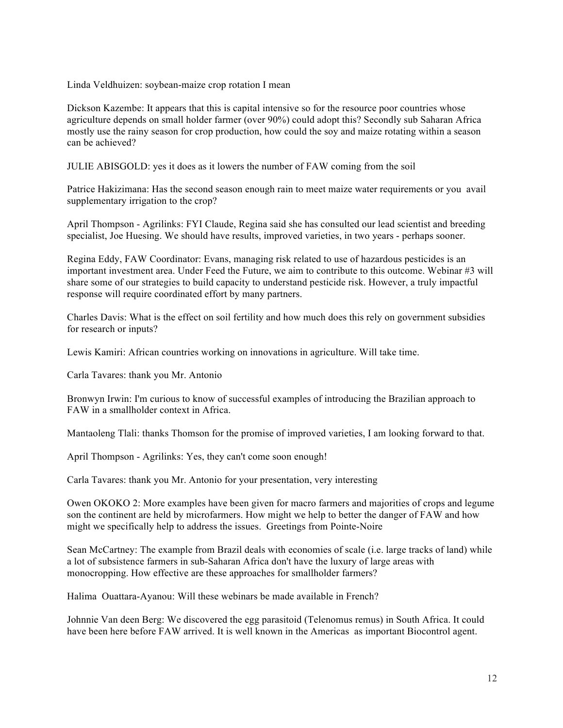Linda Veldhuizen: soybean-maize crop rotation I mean

Dickson Kazembe: It appears that this is capital intensive so for the resource poor countries whose agriculture depends on small holder farmer (over 90%) could adopt this? Secondly sub Saharan Africa mostly use the rainy season for crop production, how could the soy and maize rotating within a season can be achieved?

JULIE ABISGOLD: yes it does as it lowers the number of FAW coming from the soil

Patrice Hakizimana: Has the second season enough rain to meet maize water requirements or you avail supplementary irrigation to the crop?

April Thompson - Agrilinks: FYI Claude, Regina said she has consulted our lead scientist and breeding specialist, Joe Huesing. We should have results, improved varieties, in two years - perhaps sooner.

Regina Eddy, FAW Coordinator: Evans, managing risk related to use of hazardous pesticides is an important investment area. Under Feed the Future, we aim to contribute to this outcome. Webinar #3 will share some of our strategies to build capacity to understand pesticide risk. However, a truly impactful response will require coordinated effort by many partners.

Charles Davis: What is the effect on soil fertility and how much does this rely on government subsidies for research or inputs?

Lewis Kamiri: African countries working on innovations in agriculture. Will take time.

Carla Tavares: thank you Mr. Antonio

Bronwyn Irwin: I'm curious to know of successful examples of introducing the Brazilian approach to FAW in a smallholder context in Africa.

Mantaoleng Tlali: thanks Thomson for the promise of improved varieties, I am looking forward to that.

April Thompson - Agrilinks: Yes, they can't come soon enough!

Carla Tavares: thank you Mr. Antonio for your presentation, very interesting

Owen OKOKO 2: More examples have been given for macro farmers and majorities of crops and legume son the continent are held by microfarmers. How might we help to better the danger of FAW and how might we specifically help to address the issues. Greetings from Pointe-Noire

Sean McCartney: The example from Brazil deals with economies of scale (i.e. large tracks of land) while a lot of subsistence farmers in sub-Saharan Africa don't have the luxury of large areas with monocropping. How effective are these approaches for smallholder farmers?

Halima Ouattara-Ayanou: Will these webinars be made available in French?

Johnnie Van deen Berg: We discovered the egg parasitoid (Telenomus remus) in South Africa. It could have been here before FAW arrived. It is well known in the Americas as important Biocontrol agent.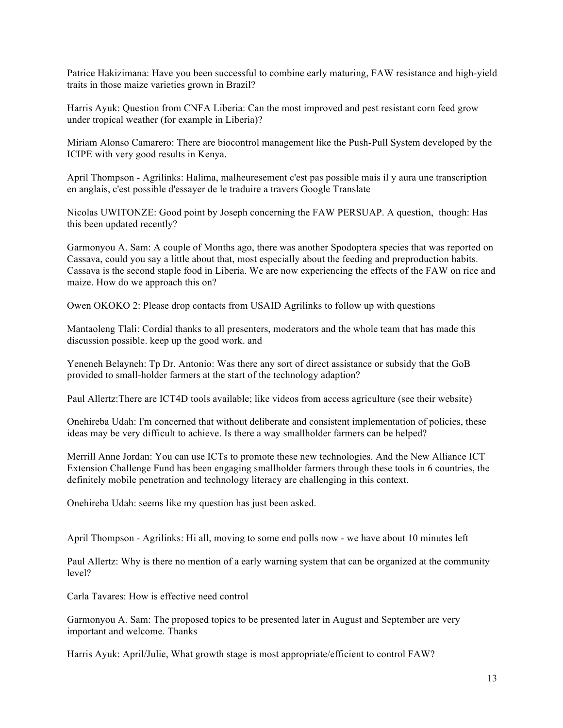Patrice Hakizimana: Have you been successful to combine early maturing, FAW resistance and high-yield traits in those maize varieties grown in Brazil?

Harris Ayuk: Question from CNFA Liberia: Can the most improved and pest resistant corn feed grow under tropical weather (for example in Liberia)?

Miriam Alonso Camarero: There are biocontrol management like the Push-Pull System developed by the ICIPE with very good results in Kenya.

April Thompson - Agrilinks: Halima, malheuresement c'est pas possible mais il y aura une transcription en anglais, c'est possible d'essayer de le traduire a travers Google Translate

Nicolas UWITONZE: Good point by Joseph concerning the FAW PERSUAP. A question, though: Has this been updated recently?

Garmonyou A. Sam: A couple of Months ago, there was another Spodoptera species that was reported on Cassava, could you say a little about that, most especially about the feeding and preproduction habits. Cassava is the second staple food in Liberia. We are now experiencing the effects of the FAW on rice and maize. How do we approach this on?

Owen OKOKO 2: Please drop contacts from USAID Agrilinks to follow up with questions

Mantaoleng Tlali: Cordial thanks to all presenters, moderators and the whole team that has made this discussion possible. keep up the good work. and

Yeneneh Belayneh: Tp Dr. Antonio: Was there any sort of direct assistance or subsidy that the GoB provided to small-holder farmers at the start of the technology adaption?

Paul Allertz:There are ICT4D tools available; like videos from access agriculture (see their website)

Onehireba Udah: I'm concerned that without deliberate and consistent implementation of policies, these ideas may be very difficult to achieve. Is there a way smallholder farmers can be helped?

Merrill Anne Jordan: You can use ICTs to promote these new technologies. And the New Alliance ICT Extension Challenge Fund has been engaging smallholder farmers through these tools in 6 countries, the definitely mobile penetration and technology literacy are challenging in this context.

Onehireba Udah: seems like my question has just been asked.

April Thompson - Agrilinks: Hi all, moving to some end polls now - we have about 10 minutes left

Paul Allertz: Why is there no mention of a early warning system that can be organized at the community level?

Carla Tavares: How is effective need control

Garmonyou A. Sam: The proposed topics to be presented later in August and September are very important and welcome. Thanks

Harris Ayuk: April/Julie, What growth stage is most appropriate/efficient to control FAW?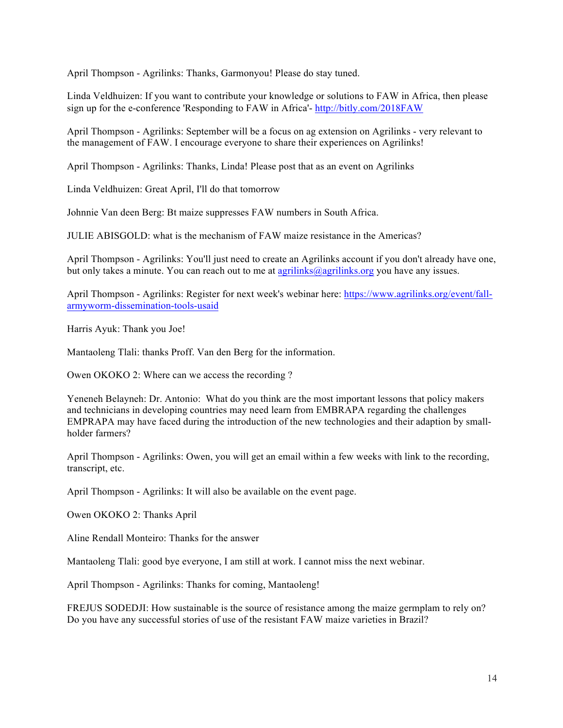April Thompson - Agrilinks: Thanks, Garmonyou! Please do stay tuned.

Linda Veldhuizen: If you want to contribute your knowledge or solutions to FAW in Africa, then please sign up for the e-conference 'Responding to FAW in Africa'- http://bitly.com/2018FAW

April Thompson - Agrilinks: September will be a focus on ag extension on Agrilinks - very relevant to the management of FAW. I encourage everyone to share their experiences on Agrilinks!

April Thompson - Agrilinks: Thanks, Linda! Please post that as an event on Agrilinks

Linda Veldhuizen: Great April, I'll do that tomorrow

Johnnie Van deen Berg: Bt maize suppresses FAW numbers in South Africa.

JULIE ABISGOLD: what is the mechanism of FAW maize resistance in the Americas?

April Thompson - Agrilinks: You'll just need to create an Agrilinks account if you don't already have one, but only takes a minute. You can reach out to me at agrilinks@agrilinks.org you have any issues.

April Thompson - Agrilinks: Register for next week's webinar here: https://www.agrilinks.org/event/fallarmyworm-dissemination-tools-usaid

Harris Ayuk: Thank you Joe!

Mantaoleng Tlali: thanks Proff. Van den Berg for the information.

Owen OKOKO 2: Where can we access the recording ?

Yeneneh Belayneh: Dr. Antonio: What do you think are the most important lessons that policy makers and technicians in developing countries may need learn from EMBRAPA regarding the challenges EMPRAPA may have faced during the introduction of the new technologies and their adaption by smallholder farmers?

April Thompson - Agrilinks: Owen, you will get an email within a few weeks with link to the recording, transcript, etc.

April Thompson - Agrilinks: It will also be available on the event page.

Owen OKOKO 2: Thanks April

Aline Rendall Monteiro: Thanks for the answer

Mantaoleng Tlali: good bye everyone, I am still at work. I cannot miss the next webinar.

April Thompson - Agrilinks: Thanks for coming, Mantaoleng!

FREJUS SODEDJI: How sustainable is the source of resistance among the maize germplam to rely on? Do you have any successful stories of use of the resistant FAW maize varieties in Brazil?